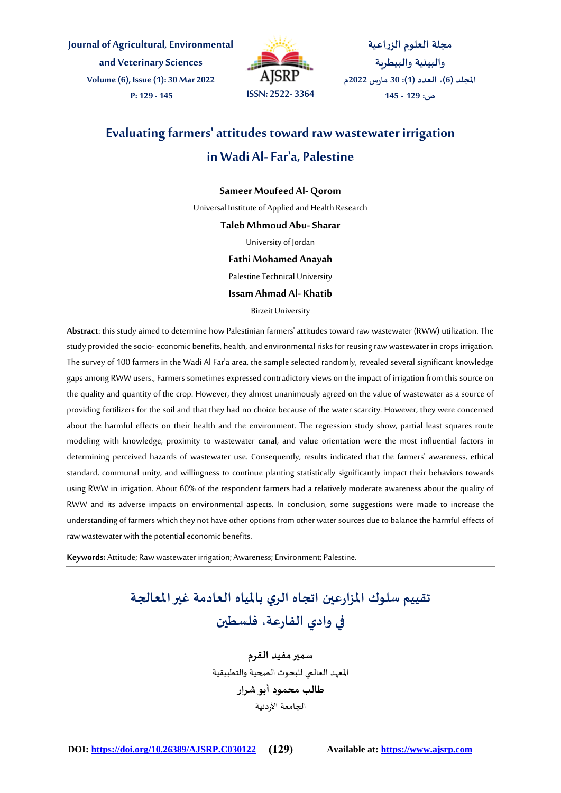**Journal of Agricultural, Environmental and VeterinarySciences Volume (6), Issue (1): 30 Mar 2022 P: 129 - 145 ISSN: 2522- 3364**



**مجلة العلوم الزراعية والبيئية والبيطرية املجلد )6(، العدد )1(: 30 مارس 2022م ص: 129 - 145**

# **Evaluating farmers' attitudes toward raw wastewater irrigation in Wadi Al-Far'a, Palestine**

### **Sameer Moufeed Al- Qorom**

Universal Institute of Applied and Health Research

#### **Taleb Mhmoud Abu-Sharar**

University of Jordan

#### **Fathi Mohamed Anayah**

Palestine Technical University

**Issam Ahmad Al- Khatib**

Birzeit University

**Abstract**: this study aimed to determine how Palestinian farmers' attitudes toward raw wastewater (RWW) utilization. The study provided the socio-economic benefits, health, and environmental risks for reusing raw wastewater in crops irrigation. The survey of 100 farmers in the Wadi Al Far'a area, the sample selected randomly, revealed several significant knowledge gaps among RWW users.,Farmers sometimes expressed contradictory views on the impact of irrigation from this source on the quality and quantity of the crop. However, they almost unanimously agreed on the value of wastewater as a source of providing fertilizers for the soil and that they had no choice because of the water scarcity. However, they were concerned about the harmful effects on their health and the environment. The regression study show, partial least squares route modeling with knowledge, proximity to wastewater canal, and value orientation were the most influential factors in determining perceived hazards of wastewater use. Consequently, results indicated that the farmers' awareness, ethical standard, communal unity, and willingness to continue planting statistically significantly impact their behaviors towards using RWW in irrigation. About 60% of the respondent farmers had a relatively moderate awareness about the quality of RWW and its adverse impacts on environmental aspects. In conclusion, some suggestions were made to increase the understanding of farmers which they not have other options from other water sources due to balance the harmful effects of raw wastewater with the potential economic benefits.

**Keywords:** Attitude; Raw wastewater irrigation; Awareness; Environment; Palestine.

# **تقييم سلوك املزارعين اتجاه الري باملياه العادمة غيراملعالجة في وادي الفارعة، فلسطين**

**سمير مفيد القرم** املعهد العالمي للبحوث الصحية والتطبيقية **طالب محمود أبو شرار** الجامعة األردنية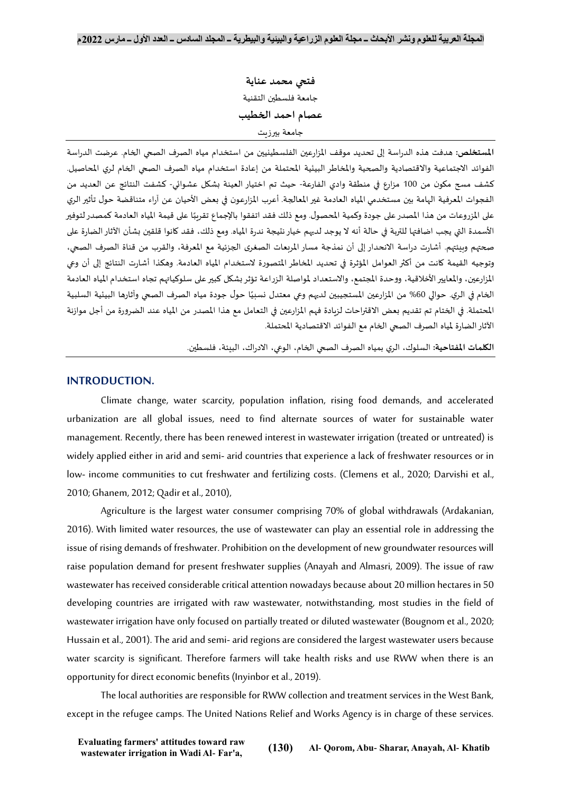**فتحي محمد عناية** جامعة فلسطين التقنية **عصام احمد الخطيب** جامعة بيرزيت

**املستخلص:** هدفت هذه الدراسة إلى تحديد موقف املزارعين الفلسطينيين من استخدام مياه الصرف الصحي الخام. عرضت الدراسة الفوائد الاجتماعية والاقتصادية والصحية والمخاطر البيئية المحتملة من إعادة استخدام مياه الصرف الصحي الخام لري المحاصيل. كشف مسح مكون من 100 مزارع في منطقة وادي الفارعة- حيث تم اختيار العينة بشكل عشوائي- كشفت النتائج عن العديد من الفجوات المعرفية الهامة بين مستخدمي المياه العادمة غير المعالجة. أعرب المزارعون في بعض الأحيان عن آراء متناقضة حول تأثير الري على المزروعات من هذا المصدر على جودة وكمية المحصول. ومع ذلك فقد اتفقوا بالإجماع تقرببًا على قيمة المياه العادمة كمصدر لتوفير ً الأسمدة التي يجب اضافتها للتربة في حالة أنه لا يوجد لديهم خيار نتيجة ندرة المياه. ومع ذلك، فقد كانوا قلقين بشأن الآثار الضارة على صحتهم وبيئتهم. أشارت دراسة االنحدار إلى أن نمذجة مساراملربعات الصغرى الجزئية مع املعرفة، والقرب من قناة الصرف الصحي، وتوجيه القيمة كانت من أكثرالعوامل املؤثرة في تحديد املخاطر املتصورة الستخدام املياه العادمة. وهكذا أشارت النتائج إلى أن وعي المزارعين، والمعايير الأخلاقية، ووحدة المجتمع، والاستعداد لمواصلة الزراعة تؤثر بشكل كبير على سلوكياتهم تجاه استخدام المياه العادمة ًالخام في الري. حوالي 60% من المزارعين المستجيبين لديهم وعي معتدل نسبيًا حول جودة مياه الصرف الصحي وآثارها البيئية السلبية المحتملة. في الختام تم تقديم بعض الاقتراحات لزبادة فهم المزارعين في التعامل مع هذا المصدر من المياه عند الضرورة من أجل موازنة اآلثارالضارة ملياه الصرف الصحي الخام مع الفوائد االقتصادية املحتملة.

**الكلمات املفتاحية:** السلوك، الري بمياه الصرف الصحي الخام، الوعي، االدراك، البيئة، فلسطين.

# **INTRODUCTION.**

Climate change, water scarcity, population inflation, rising food demands, and accelerated urbanization are all global issues, need to find alternate sources of water for sustainable water management. Recently, there has been renewed interest in wastewater irrigation (treated or untreated) is widely applied either in arid and semi- arid countries that experience a lack of freshwater resources or in low- income communities to cut freshwater and fertilizing costs. (Clemens et al., 2020; Darvishi et al., 2010; Ghanem, 2012; Qadir et al., 2010),

Agriculture is the largest water consumer comprising 70% of global withdrawals (Ardakanian, 2016). With limited water resources, the use of wastewater can play an essential role in addressing the issue of rising demands of freshwater. Prohibition on the development of new groundwater resources will raise population demand for present freshwater supplies (Anayah and Almasri, 2009). The issue of raw wastewater has received considerable critical attention nowadays because about 20 million hectares in 50 developing countries are irrigated with raw wastewater, notwithstanding, most studies in the field of wastewater irrigation have only focused on partially treated or diluted wastewater (Bougnom et al., 2020; Hussain et al., 2001). The arid and semi-arid regions are considered the largest wastewater users because water scarcity is significant. Therefore farmers will take health risks and use RWW when there is an opportunity for direct economic benefits (Inyinbor et al., 2019).

The local authorities are responsible for RWW collection and treatment services in the West Bank, except in the refugee camps. The United Nations Relief and Works Agency is in charge of these services.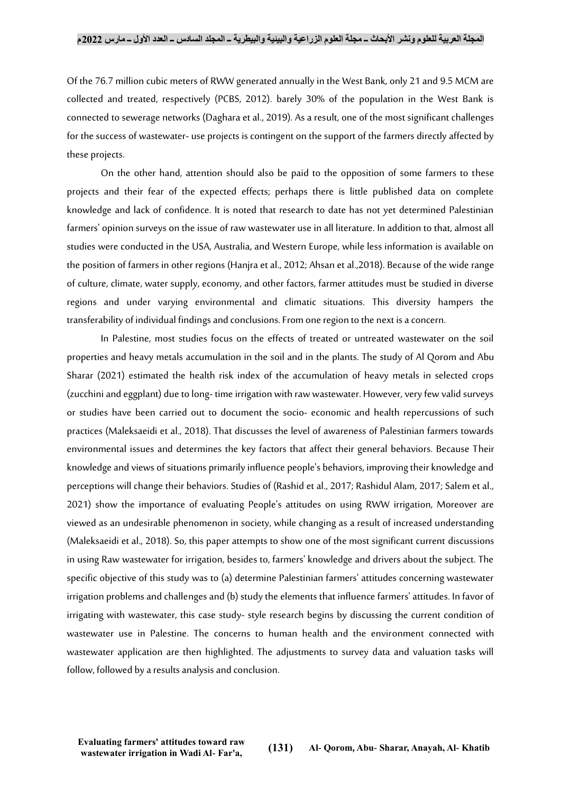Of the 76.7 million cubic meters of RWW generated annually in the West Bank, only 21 and 9.5 MCM are collected and treated, respectively (PCBS, 2012). barely 30% of the population in the West Bank is connected to sewerage networks (Daghara et al., 2019). As a result, one of the most significant challenges for the success of wastewater- use projects is contingent on the support of the farmers directly affected by these projects.

On the other hand, attention should also be paid to the opposition of some farmers to these projects and their fear of the expected effects; perhaps there is little published data on complete knowledge and lack of confidence. It is noted that research to date has not yet determined Palestinian farmers' opinion surveys on the issue of raw wastewater use in all literature. In addition to that, almost all studies were conducted in the USA, Australia, and Western Europe, while less information is available on the position of farmers in other regions (Hanjra et al., 2012; Ahsan et al.,2018). Because of the wide range of culture, climate, water supply, economy, and other factors, farmer attitudes must be studied in diverse regions and under varying environmental and climatic situations. This diversity hampers the transferability of individual findings and conclusions. From one region to the next is a concern.

In Palestine, most studies focus on the effects of treated or untreated wastewater on the soil properties and heavy metals accumulation in the soil and in the plants. The study of Al Qorom and Abu Sharar (2021) estimated the health risk index of the accumulation of heavy metals in selected crops (zucchini and eggplant) due to long- time irrigation with raw wastewater. However, very few valid surveys or studies have been carried out to document the socio- economic and health repercussions of such practices (Maleksaeidi et al., 2018). That discusses the level of awareness of Palestinian farmers towards environmental issues and determines the key factors that affect their general behaviors. Because Their knowledge and views of situations primarily influence people's behaviors, improving their knowledge and perceptions will change their behaviors. Studies of (Rashid et al., 2017; Rashidul Alam, 2017; Salem et al., 2021) show the importance of evaluating People's attitudes on using RWW irrigation, Moreover are viewed as an undesirable phenomenon in society, while changing as a result of increased understanding (Maleksaeidi et al., 2018). So, this paper attempts to show one of the most significant current discussions in using Raw wastewater for irrigation, besides to, farmers' knowledge and drivers about the subject. The specific objective of this study was to (a) determine Palestinian farmers' attitudes concerning wastewater irrigation problems and challenges and (b) study the elements that influence farmers' attitudes. In favor of irrigating with wastewater, this case study- style research begins by discussing the current condition of wastewater use in Palestine. The concerns to human health and the environment connected with wastewater application are then highlighted. The adjustments to survey data and valuation tasks will follow, followed by a results analysis and conclusion.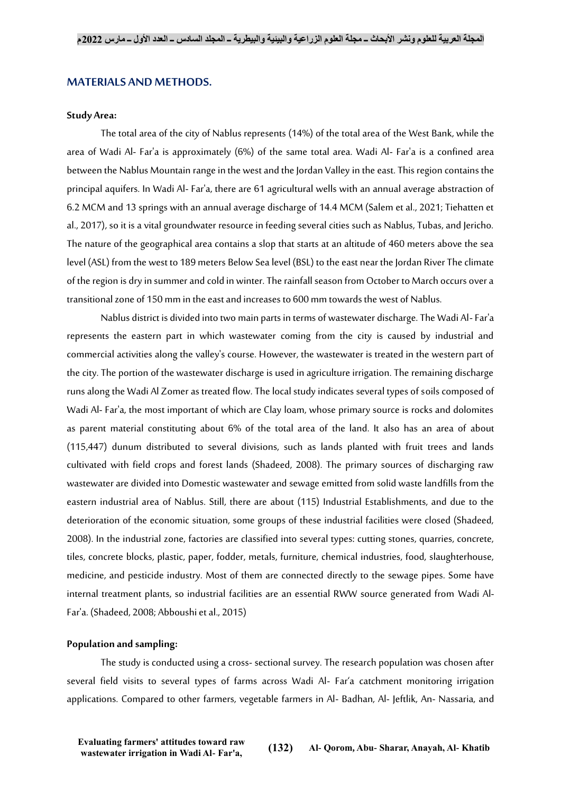### **MATERIALS AND METHODS.**

#### **Study Area:**

The total area of the city of Nablus represents (14%) of the total area of the West Bank, while the area of Wadi Al- Far'a is approximately (6%) of the same total area. Wadi Al- Far'a is a confined area between the Nablus Mountain range in the west and the Jordan Valleyin the east. This region contains the principal aquifers. In Wadi Al- Far'a, there are 61 agricultural wells with an annual average abstraction of 6.2 MCM and 13 springs with an annual average discharge of 14.4 MCM (Salem et al., 2021; Tiehatten et al., 2017), so it is a vital groundwater resource in feeding several cities such as Nablus, Tubas, and Jericho. The nature of the geographical area contains a slop that starts at an altitude of 460 meters above the sea level (ASL) from the west to 189 meters Below Sea level (BSL) to the east near the Jordan River The climate of the region is dry in summer and cold in winter. The rainfall season from October to March occurs over a transitional zone of 150 mm in the east and increases to 600 mm towards the west of Nablus.

Nablus district is divided into two main parts in terms of wastewater discharge. The Wadi Al-Far'a represents the eastern part in which wastewater coming from the city is caused by industrial and commercial activities along the valley's course. However, the wastewater is treated in the western part of the city. The portion of the wastewater discharge is used in agriculture irrigation. The remaining discharge runs along the Wadi Al Zomer as treated flow. The local study indicates several types of soils composed of Wadi Al- Far'a, the most important of which are Clay loam, whose primary source is rocks and dolomites as parent material constituting about 6% of the total area of the land. It also has an area of about (115,447) dunum distributed to several divisions, such as lands planted with fruit trees and lands cultivated with field crops and forest lands (Shadeed, 2008). The primary sources of discharging raw wastewater are divided into Domestic wastewater and sewage emitted from solid waste landfills from the eastern industrial area of Nablus. Still, there are about (115) Industrial Establishments, and due to the deterioration of the economic situation, some groups of these industrial facilities were closed (Shadeed, 2008). In the industrial zone, factories are classified into several types: cutting stones, quarries, concrete, tiles, concrete blocks, plastic, paper, fodder, metals, furniture, chemical industries, food, slaughterhouse, medicine, and pesticide industry. Most of them are connected directly to the sewage pipes. Some have internal treatment plants, so industrial facilities are an essential RWW source generated from Wadi Al-Far'a. (Shadeed, 2008; Abboushi et al., 2015)

#### **Population and sampling:**

The study is conducted using a cross- sectional survey. The research population was chosen after several field visits to several types of farms across Wadi Al- Far'a catchment monitoring irrigation applications. Compared to other farmers, vegetable farmers in Al- Badhan, Al- Jeftlik, An- Nassaria, and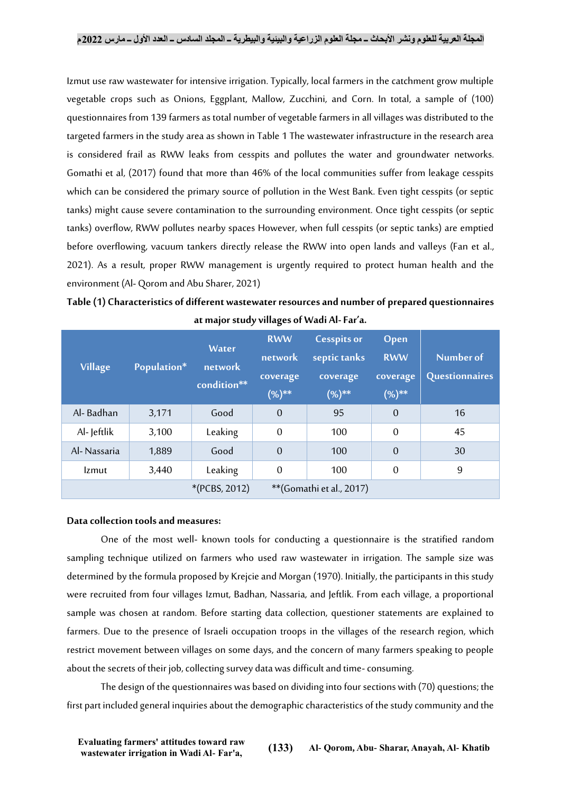Izmut use raw wastewater for intensive irrigation. Typically, local farmers in the catchment grow multiple vegetable crops such as Onions, Eggplant, Mallow, Zucchini, and Corn. In total, a sample of (100) questionnaires from 139 farmers as total number of vegetable farmers in all villages was distributed to the targeted farmers in the study area as shown in Table 1 The wastewater infrastructure in the research area is considered frail as RWW leaks from cesspits and pollutes the water and groundwater networks. Gomathi et al, (2017) found that more than 46% of the local communities suffer from leakage cesspits which can be considered the primary source of pollution in the West Bank. Even tight cesspits (or septic tanks) might cause severe contamination to the surrounding environment. Once tight cesspits (or septic tanks) overflow, RWW pollutes nearby spaces However, when full cesspits (or septic tanks) are emptied before overflowing, vacuum tankers directly release the RWW into open lands and valleys (Fan et al., 2021). As a result, proper RWW management is urgently required to protect human health and the environment (Al- Qorom and Abu Sharer, 2021)

**Table (1) Characteristics of different wastewater resources and number of prepared questionnaires at major study villages of Wadi Al-Far'a.**

| <b>Village</b> | Population*                               | <b>Water</b><br>network<br>condition** | <b>RWW</b><br>network<br>coverage<br>$(%)^{**}$ | <b>Cesspits or</b><br>septic tanks<br>coverage<br>$(%)^{**}$ | Open<br><b>RWW</b><br>coverage<br>$(%)$ ** | Number of<br><b>Questionnaires</b> |
|----------------|-------------------------------------------|----------------------------------------|-------------------------------------------------|--------------------------------------------------------------|--------------------------------------------|------------------------------------|
| Al-Badhan      | 3,171                                     | Good                                   | $\Omega$                                        | 95                                                           | $\overline{0}$                             | 16                                 |
| Al-Jeftlik     | 3,100                                     | Leaking                                | $\overline{0}$                                  | 100                                                          | $\overline{0}$                             | 45                                 |
| Al-Nassaria    | 1,889                                     | Good                                   | $\overline{0}$                                  | 100                                                          | $\overline{0}$                             | 30                                 |
| <b>Izmut</b>   | 3,440                                     | Leaking                                | $\theta$                                        | 100                                                          | $\overline{0}$                             | 9                                  |
|                | *(PCBS, 2012)<br>**(Gomathi et al., 2017) |                                        |                                                 |                                                              |                                            |                                    |

#### **Data collection tools and measures:**

One of the most well- known tools for conducting a questionnaire is the stratified random sampling technique utilized on farmers who used raw wastewater in irrigation. The sample size was determined by the formula proposed by Krejcie and Morgan (1970). Initially, the participants in this study were recruited from four villages Izmut, Badhan, Nassaria, and Jeftlik. From each village, a proportional sample was chosen at random. Before starting data collection, questioner statements are explained to farmers. Due to the presence of Israeli occupation troops in the villages of the research region, which restrict movement between villages on some days, and the concern of many farmers speaking to people about the secrets of their job, collecting survey data was difficult and time-consuming.

The design of the questionnaires was based on dividing into four sections with (70) questions; the first part included general inquiries about the demographic characteristics of the study community and the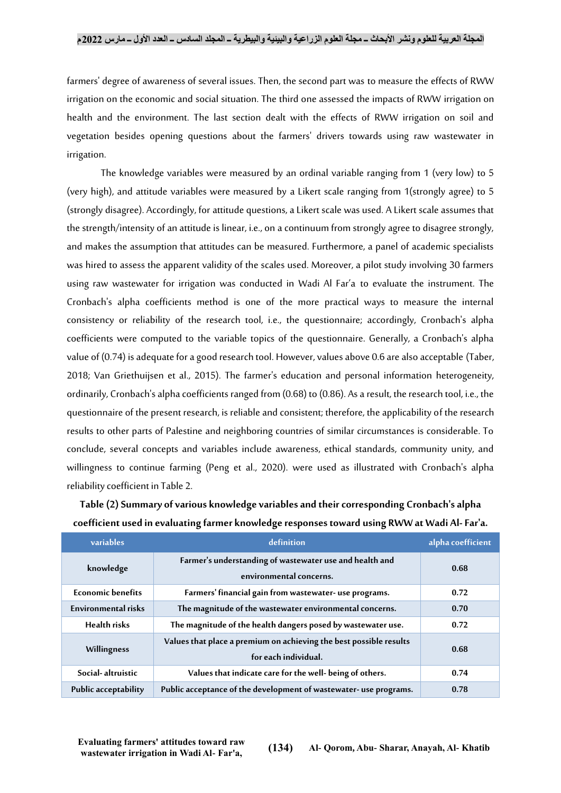farmers' degree of awareness of several issues. Then, the second part was to measure the effects of RWW irrigation on the economic and social situation. The third one assessed the impacts of RWW irrigation on health and the environment. The last section dealt with the effects of RWW irrigation on soil and vegetation besides opening questions about the farmers' drivers towards using raw wastewater in irrigation.

The knowledge variables were measured by an ordinal variable ranging from 1 (very low) to 5 (very high), and attitude variables were measured by a Likert scale ranging from 1(strongly agree) to 5 (strongly disagree). Accordingly, for attitude questions, a Likert scale was used. A Likert scale assumes that the strength/intensity of an attitude is linear, i.e., on a continuum from strongly agree to disagree strongly, and makes the assumption that attitudes can be measured. Furthermore, a panel of academic specialists was hired to assess the apparent validity of the scales used. Moreover, a pilot study involving 30 farmers using raw wastewater for irrigation was conducted in Wadi Al Far'a to evaluate the instrument. The Cronbach's alpha coefficients method is one of the more practical ways to measure the internal consistency or reliability of the research tool, i.e., the questionnaire; accordingly, Cronbach's alpha coefficients were computed to the variable topics of the questionnaire. Generally, a Cronbach's alpha value of (0.74) is adequate for a good research tool. However, values above 0.6 are also acceptable (Taber, 2018; Van Griethuijsen et al., 2015). The farmer's education and personal information heterogeneity, ordinarily, Cronbach's alpha coefficients ranged from (0.68) to (0.86). As a result, the research tool, i.e., the questionnaire of the present research, is reliable and consistent; therefore, the applicability of the research results to other parts of Palestine and neighboring countries of similar circumstances is considerable. To conclude, several concepts and variables include awareness, ethical standards, community unity, and willingness to continue farming (Peng et al., 2020). were used as illustrated with Cronbach's alpha reliability coefficient in Table 2.

| variables                  | definition                                                                                 | alpha coefficient |
|----------------------------|--------------------------------------------------------------------------------------------|-------------------|
| knowledge                  | Farmer's understanding of wastewater use and health and<br>environmental concerns.         | 0.68              |
| <b>Economic benefits</b>   | Farmers' financial gain from wastewater- use programs.                                     | 0.72              |
| <b>Environmental risks</b> | The magnitude of the wastewater environmental concerns.                                    | 0.70              |
| <b>Health risks</b>        | The magnitude of the health dangers posed by wastewater use.                               | 0.72              |
| Willingness                | Values that place a premium on achieving the best possible results<br>for each individual. | 0.68              |
| Social-altruistic          | Values that indicate care for the well- being of others.                                   | 0.74              |
| Public acceptability       | Public acceptance of the development of wastewater- use programs.                          | 0.78              |

**Table (2)Summary of various knowledge variables and their corresponding Cronbach's alpha coefficient used in evaluating farmer knowledge responses toward using RWW at Wadi Al-Far'a.**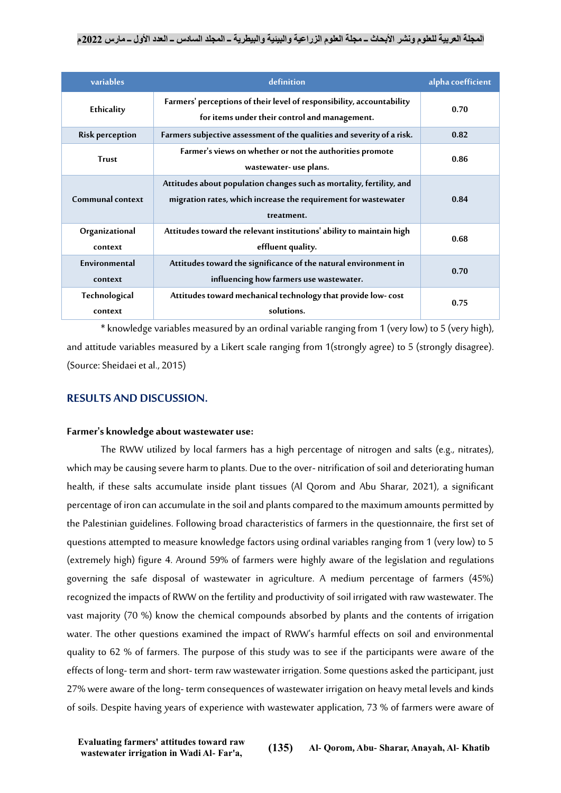| variables                 | definition                                                                                                                                           | alpha coefficient |
|---------------------------|------------------------------------------------------------------------------------------------------------------------------------------------------|-------------------|
| Ethicality                | Farmers' perceptions of their level of responsibility, accountability<br>for items under their control and management.                               | 0.70              |
| <b>Risk perception</b>    | Farmers subjective assessment of the qualities and severity of a risk.                                                                               | 0.82              |
| <b>Trust</b>              | Farmer's views on whether or not the authorities promote<br>wastewater- use plans.                                                                   | 0.86              |
| Communal context          | Attitudes about population changes such as mortality, fertility, and<br>migration rates, which increase the requirement for wastewater<br>treatment. | 0.84              |
| Organizational<br>context | Attitudes toward the relevant institutions' ability to maintain high<br>effluent quality.                                                            | 0.68              |
| Environmental<br>context  | Attitudes toward the significance of the natural environment in<br>influencing how farmers use wastewater.                                           | 0.70              |
| Technological<br>context  | Attitudes toward mechanical technology that provide low-cost<br>solutions.                                                                           | 0.75              |

\*knowledge variables measured byan ordinal variable ranging from 1 (very low) to 5 (very high), and attitude variables measured by a Likert scale ranging from 1(strongly agree) to 5 (strongly disagree). (Source: Sheidaei et al., 2015)

# **RESULTS AND DISCUSSION.**

# **Farmer's knowledge about wastewater use:**

The RWW utilized by local farmers has a high percentage of nitrogen and salts (e.g., nitrates), which may be causing severe harm to plants. Due to the over- nitrification of soil and deteriorating human health, if these salts accumulate inside plant tissues (Al Qorom and Abu Sharar, 2021), a significant percentage of iron can accumulate in the soil and plants compared to the maximum amounts permitted by the Palestinian guidelines. Following broad characteristics of farmers in the questionnaire, the first set of questions attempted to measure knowledge factors using ordinal variables ranging from 1 (very low) to 5 (extremely high) figure 4. Around 59% of farmers were highly aware of the legislation and regulations governing the safe disposal of wastewater in agriculture. A medium percentage of farmers (45%) recognized the impacts of RWW on the fertility and productivity of soil irrigated with raw wastewater. The vast majority (70 %) know the chemical compounds absorbed by plants and the contents of irrigation water. The other questions examined the impact of RWW's harmful effects on soil and environmental quality to 62 % of farmers. The purpose of this study was to see if the participants were aware of the effects of long- term and short- term raw wastewater irrigation. Some questions asked the participant, just 27% were aware of the long- term consequences of wastewater irrigation on heavy metal levels and kinds of soils. Despite having years of experience with wastewater application, 73 % of farmers were aware of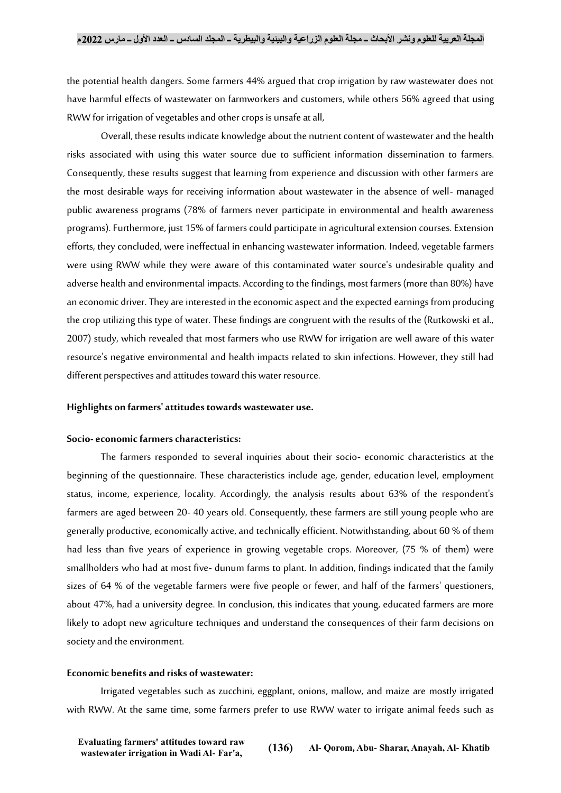the potential health dangers. Some farmers 44% argued that crop irrigation by raw wastewater does not have harmful effects of wastewater on farmworkers and customers, while others 56% agreed that using RWW for irrigation of vegetables and other crops is unsafe at all,

Overall, these results indicate knowledge about the nutrient content of wastewater and the health risks associated with using this water source due to sufficient information dissemination to farmers. Consequently, these results suggest that learning from experience and discussion with other farmers are the most desirable ways for receiving information about wastewater in the absence of well- managed public awareness programs (78% of farmers never participate in environmental and health awareness programs). Furthermore, just 15% of farmers could participate in agricultural extension courses. Extension efforts, they concluded, were ineffectual in enhancing wastewater information. Indeed, vegetable farmers were using RWW while they were aware of this contaminated water source's undesirable quality and adverse health and environmental impacts. According to the findings, most farmers (more than 80%) have an economic driver. They are interested in the economic aspect and the expected earnings from producing the crop utilizing this type of water. These findings are congruent with the results of the (Rutkowski et al., 2007) study, which revealed that most farmers who use RWW for irrigation are well aware of this water resource's negative environmental and health impacts related to skin infections. However, they still had different perspectives and attitudes toward this water resource.

#### **Highlights on farmers' attitudes towards wastewater use.**

#### **Socio-economic farmers characteristics:**

The farmers responded to several inquiries about their socio- economic characteristics at the beginning of the questionnaire. These characteristics include age, gender, education level, employment status, income, experience, locality. Accordingly, the analysis results about 63% of the respondent's farmers are aged between 20- 40 years old. Consequently, these farmers are still young people who are generally productive, economically active, and technically efficient. Notwithstanding, about 60 % of them had less than five years of experience in growing vegetable crops. Moreover, (75 % of them) were smallholders who had at most five- dunum farms to plant. In addition, findings indicated that the family sizes of 64 % of the vegetable farmers were five people or fewer, and half of the farmers' questioners, about 47%, had a university degree. In conclusion, this indicates that young, educated farmers are more likely to adopt new agriculture techniques and understand the consequences of their farm decisions on society and the environment.

#### **Economic benefits and risks of wastewater:**

Irrigated vegetables such as zucchini, eggplant, onions, mallow, and maize are mostly irrigated with RWW. At the same time, some farmers prefer to use RWW water to irrigate animal feeds such as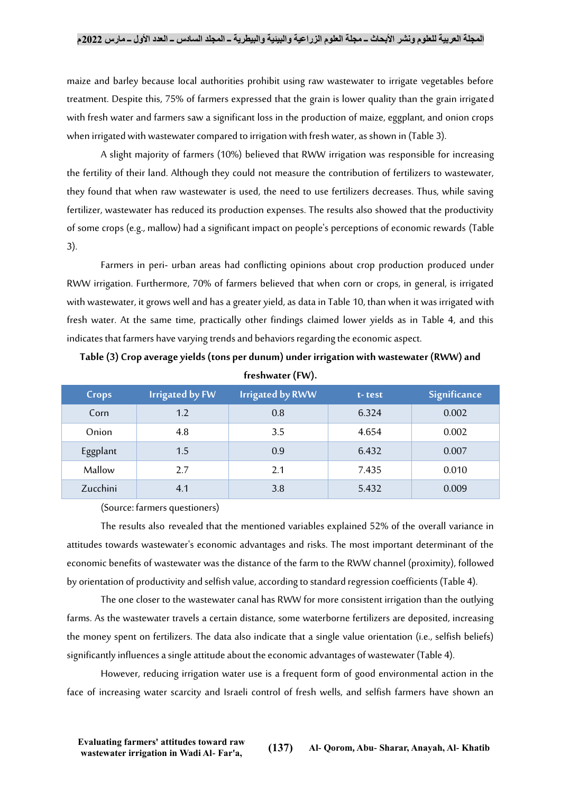maize and barley because local authorities prohibit using raw wastewater to irrigate vegetables before treatment. Despite this, 75% of farmers expressed that the grain is lower quality than the grain irrigated with fresh water and farmers saw a significant loss in the production of maize, eggplant, and onion crops when irrigated with wastewater compared to irrigation with fresh water, as shown in (Table 3).

A slight majority of farmers (10%) believed that RWW irrigation was responsible for increasing the fertility of their land. Although they could not measure the contribution of fertilizers to wastewater, they found that when raw wastewater is used, the need to use fertilizers decreases. Thus, while saving fertilizer, wastewater has reduced its production expenses. The results also showed that the productivity of some crops (e.g., mallow) had a significant impact on people's perceptions of economic rewards (Table 3).

Farmers in peri- urban areas had conflicting opinions about crop production produced under RWW irrigation. Furthermore, 70% of farmers believed that when corn or crops, in general, is irrigated with wastewater, it grows well and has a greater yield, as data in Table 10, than when it was irrigated with fresh water. At the same time, practically other findings claimed lower yields as in Table 4, and this indicates that farmers have varying trends and behaviors regarding the economic aspect.

| freshwater (FW). |                        |                         |        |              |
|------------------|------------------------|-------------------------|--------|--------------|
| Crops            | <b>Irrigated by FW</b> | <b>Irrigated by RWW</b> | t-test | Significance |
| Corn             | 1.2                    | 0.8                     | 6.324  | 0.002        |
| Onion            | 4.8                    | 3.5                     | 4.654  | 0.002        |
| Eggplant         | 1.5                    | 0.9                     | 6.432  | 0.007        |
| Mallow           | 2.7                    | 2.1                     | 7.435  | 0.010        |

**Table (3) Crop average yields (tons per dunum) under irrigation with wastewater (RWW) and** 

(Source: farmers questioners)

The results also revealed that the mentioned variables explained 52% of the overall variance in attitudes towards wastewater's economic advantages and risks. The most important determinant of the economic benefits of wastewater was the distance of the farm to the RWW channel (proximity), followed by orientation of productivity and selfish value, according to standard regression coefficients (Table 4).

Zucchini 4.1 3.8 5.432 0.009

The one closer to the wastewater canal has RWW for more consistent irrigation than the outlying farms. As the wastewater travels a certain distance, some waterborne fertilizers are deposited, increasing the money spent on fertilizers. The data also indicate that a single value orientation (i.e., selfish beliefs) significantly influences a single attitude about the economic advantages of wastewater (Table 4).

However, reducing irrigation water use is a frequent form of good environmental action in the face of increasing water scarcity and Israeli control of fresh wells, and selfish farmers have shown an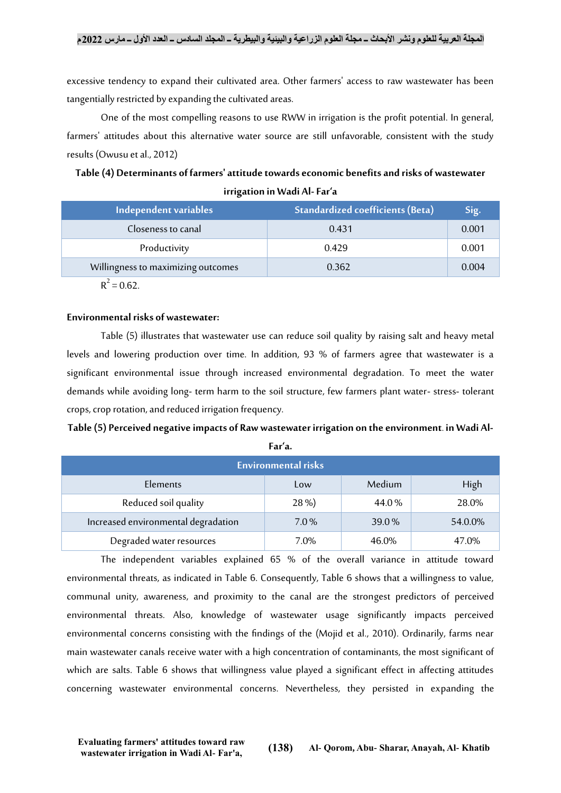excessive tendency to expand their cultivated area. Other farmers' access to raw wastewater has been tangentially restricted by expanding the cultivated areas.

One of the most compelling reasons to use RWW in irrigation is the profit potential. In general, farmers' attitudes about this alternative water source are still unfavorable, consistent with the study results (Owusu et al., 2012)

# **Table (4) Determinants of farmers' attitude towards economic benefits and risks of wastewater irrigation in Wadi Al-Far'a**

| Independent variables              | Standardized coefficients (Beta) | Sig.  |
|------------------------------------|----------------------------------|-------|
| Closeness to canal                 | 0.431                            | 0.001 |
| Productivity                       | 0.429                            | 0.001 |
| Willingness to maximizing outcomes | 0.362                            | 0.004 |
|                                    |                                  |       |

 $R^2 = 0.62$ .

# **Environmental risks of wastewater:**

Table (5) illustrates that wastewater use can reduce soil quality by raising salt and heavy metal levels and lowering production over time. In addition, 93 % of farmers agree that wastewater is a significant environmental issue through increased environmental degradation. To meet the water demands while avoiding long- term harm to the soil structure, few farmers plant water- stress- tolerant crops, crop rotation, and reduced irrigation frequency.

# **Table (5) Perceived negative impacts of Raw wastewater irrigation on the environment. in Wadi Al-**

| × | . . | v<br>۰.<br>×<br>۰ |
|---|-----|-------------------|
|   |     |                   |

| <b>Environmental risks</b>          |       |        |         |  |
|-------------------------------------|-------|--------|---------|--|
| Elements                            | Low   | Medium | High    |  |
| Reduced soil quality                | 28 %) | 44.0%  | 28.0%   |  |
| Increased environmental degradation | 7.0%  | 39.0%  | 54.0.0% |  |
| Degraded water resources            | 7.0%  | 46.0%  | 47.0%   |  |

The independent variables explained 65 % of the overall variance in attitude toward environmental threats, as indicated in Table 6. Consequently, Table 6 shows that a willingness to value, communal unity, awareness, and proximity to the canal are the strongest predictors of perceived environmental threats. Also, knowledge of wastewater usage significantly impacts perceived environmental concerns consisting with the findings of the (Mojid et al., 2010). Ordinarily, farms near main wastewater canals receive water with a high concentration of contaminants, the most significant of which are salts. Table 6 shows that willingness value played a significant effect in affecting attitudes concerning wastewater environmental concerns. Nevertheless, they persisted in expanding the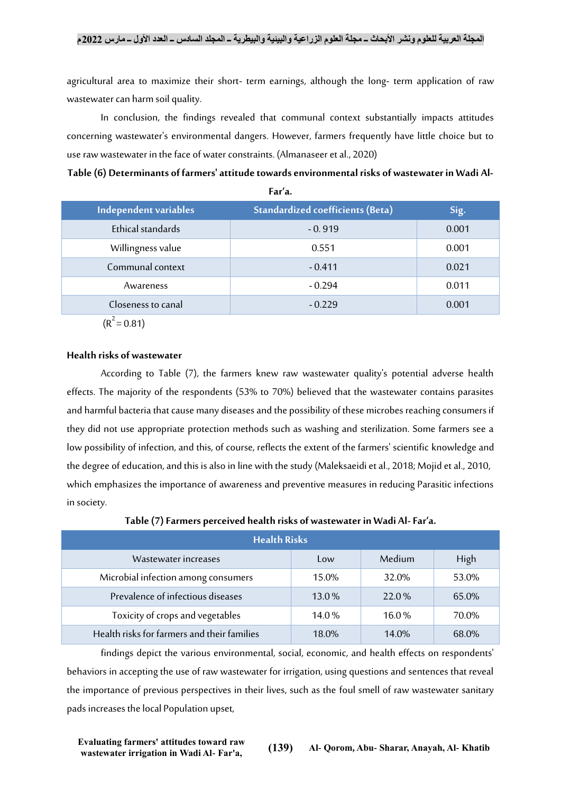agricultural area to maximize their short- term earnings, although the long- term application of raw wastewater can harm soil quality.

In conclusion, the findings revealed that communal context substantially impacts attitudes concerning wastewater's environmental dangers. However, farmers frequently have little choice but to use raw wastewater in the face of water constraints. (Almanaseer et al., 2020)

**Table (6) Determinants of farmers' attitude towards environmental risks of wastewater in Wadi Al-**

| Independent variables | <b>Standardized coefficients (Beta)</b> | Sig.  |
|-----------------------|-----------------------------------------|-------|
| Ethical standards     | $-0.919$                                | 0.001 |
| Willingness value     | 0.551                                   | 0.001 |
| Communal context      | $-0.411$                                | 0.021 |
| Awareness             | $-0.294$                                | 0.011 |
| Closeness to canal    | $-0.229$                                | 0.001 |
| $(R^2 = 0.81)$        |                                         |       |

**Far'a.**

# **Health risks of wastewater**

According to Table (7), the farmers knew raw wastewater quality's potential adverse health effects. The majority of the respondents (53% to 70%) believed that the wastewater contains parasites and harmful bacteria that cause many diseases and the possibility of these microbes reaching consumers if they did not use appropriate protection methods such as washing and sterilization. Some farmers see a low possibility of infection, and this, of course, reflects the extent of the farmers' scientific knowledge and the degree of education, and this is also in line with the study (Maleksaeidi et al., 2018; Mojid et al., 2010, which emphasizes the importance of awareness and preventive measures in reducing Parasitic infections in society.

| <b>Health Risks</b>                         |          |          |       |  |
|---------------------------------------------|----------|----------|-------|--|
| Wastewater increases                        | Low      | Medium   | High  |  |
| Microbial infection among consumers         | 15.0%    | 32.0%    | 53.0% |  |
| Prevalence of infectious diseases           | $13.0\%$ | 22.0%    | 65.0% |  |
| Toxicity of crops and vegetables            | 14.0%    | $16.0\%$ | 70.0% |  |
| Health risks for farmers and their families | 18.0%    | $14.0\%$ | 68.0% |  |

**Table (7)Farmers perceived health risks of wastewater in Wadi Al-Far'a.**

findings depict the various environmental, social, economic, and health effects on respondents' behaviors in accepting the use of raw wastewater for irrigation, using questions and sentences that reveal the importance of previous perspectives in their lives, such as the foul smell of raw wastewater sanitary pads increases the local Population upset,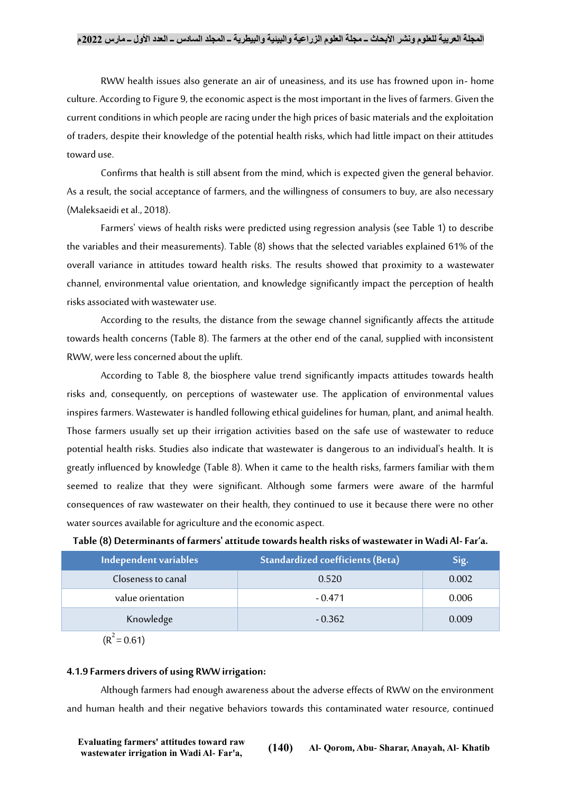RWW health issues also generate an air of uneasiness, and its use has frowned upon in- home culture. According to Figure 9, the economic aspect is the most important in the lives of farmers. Given the current conditions in which people are racing under the high prices of basic materials and the exploitation of traders, despite their knowledge of the potential health risks, which had little impact on their attitudes toward use.

Confirms that health is still absent from the mind, which is expected given the general behavior. As a result, the social acceptance of farmers, and the willingness of consumers to buy, are also necessary (Maleksaeidi et al., 2018).

Farmers' views of health risks were predicted using regression analysis (see Table 1) to describe the variables and their measurements). Table (8) shows that the selected variables explained 61% of the overall variance in attitudes toward health risks. The results showed that proximity to a wastewater channel, environmental value orientation, and knowledge significantly impact the perception of health risks associated with wastewater use.

According to the results, the distance from the sewage channel significantly affects the attitude towards health concerns (Table 8). The farmers at the other end of the canal, supplied with inconsistent RWW, were less concerned about the uplift.

According to Table 8, the biosphere value trend significantly impacts attitudes towards health risks and, consequently, on perceptions of wastewater use. The application of environmental values inspires farmers. Wastewater is handled following ethical guidelines for human, plant, and animal health. Those farmers usually set up their irrigation activities based on the safe use of wastewater to reduce potential health risks. Studies also indicate that wastewater is dangerous to an individual's health. It is greatly influenced by knowledge (Table 8). When it came to the health risks, farmers familiar with them seemed to realize that they were significant. Although some farmers were aware of the harmful consequences of raw wastewater on their health, they continued to use it because there were no other water sources available for agriculture and the economic aspect.

| Independent variables | <b>Standardized coefficients (Beta)</b> | Sig.  |
|-----------------------|-----------------------------------------|-------|
| Closeness to canal    | 0.520                                   | 0.002 |
| value orientation     | $-0.471$                                | 0.006 |
| Knowledge             | $-0.362$                                | 0.009 |

 $(R^2 = 0.61)$ 

#### **4.1.9 Farmers drivers of using RWW irrigation:**

Although farmers had enough awareness about the adverse effects of RWW on the environment and human health and their negative behaviors towards this contaminated water resource, continued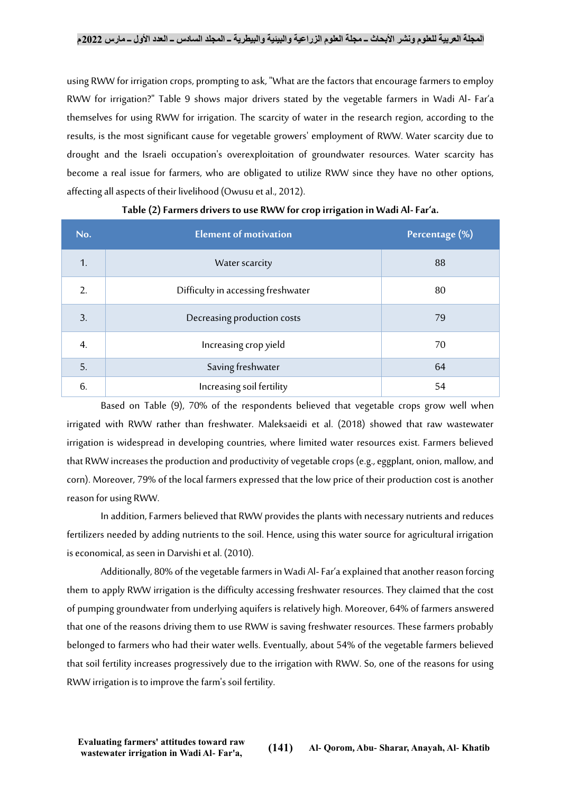using RWW for irrigation crops, prompting to ask, "What are the factors that encourage farmers to employ RWW for irrigation?" Table 9 shows major drivers stated by the vegetable farmers in Wadi Al- Far'a themselves for using RWW for irrigation. The scarcity of water in the research region, according to the results, is the most significant cause for vegetable growers' employment of RWW. Water scarcity due to drought and the Israeli occupation's overexploitation of groundwater resources. Water scarcity has become a real issue for farmers, who are obligated to utilize RWW since they have no other options, affecting all aspects of their livelihood (Owusu et al., 2012).

| No.           | <b>Element of motivation</b>       | Percentage (%) |
|---------------|------------------------------------|----------------|
| 1.            | Water scarcity                     | 88             |
| $\mathcal{L}$ | Difficulty in accessing freshwater | 80             |
| 3.            | Decreasing production costs        | 79             |
| 4.            | Increasing crop yield              | 70             |
| 5.            | Saving freshwater                  | 64             |
| 6.            | Increasing soil fertility          | 54             |

# **Table (2)Farmers drivers to use RWW for crop irrigation in Wadi Al-Far'a.**

Based on Table (9), 70% of the respondents believed that vegetable crops grow well when irrigated with RWW rather than freshwater. Maleksaeidi et al. (2018) showed that raw wastewater irrigation is widespread in developing countries, where limited water resources exist. Farmers believed that RWW increases the production and productivity of vegetable crops (e.g., eggplant, onion, mallow, and corn). Moreover, 79% of the local farmers expressed that the low price of their production cost is another reason for using RWW.

In addition, Farmers believed that RWW provides the plants with necessary nutrients and reduces fertilizers needed by adding nutrients to the soil. Hence, using this water source for agricultural irrigation is economical, as seen in Darvishi et al. (2010).

Additionally, 80% of the vegetable farmers in Wadi Al-Far'a explained that another reason forcing them to apply RWW irrigation is the difficulty accessing freshwater resources. They claimed that the cost of pumping groundwater from underlying aquifers is relatively high. Moreover, 64% of farmers answered that one of the reasons driving them to use RWW is saving freshwater resources. These farmers probably belonged to farmers who had their water wells. Eventually, about 54% of the vegetable farmers believed that soil fertility increases progressively due to the irrigation with RWW. So, one of the reasons for using RWW irrigation is to improve the farm's soil fertility.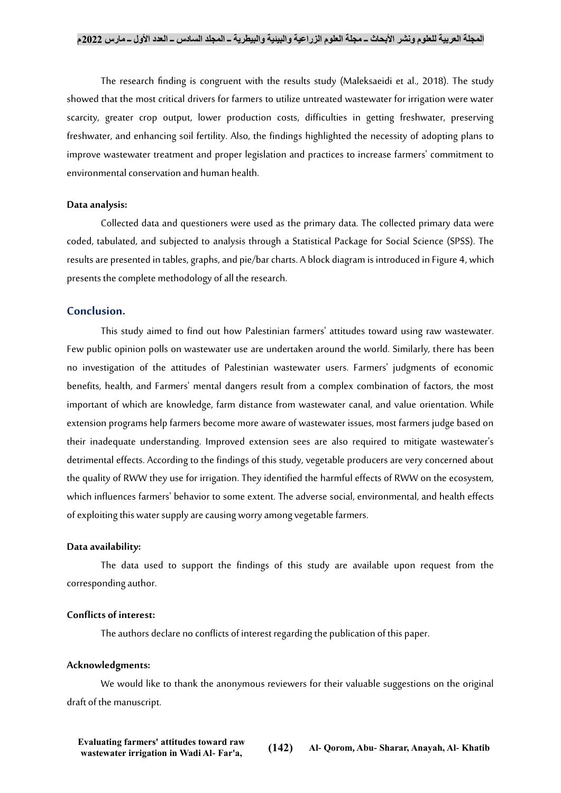The research finding is congruent with the results study (Maleksaeidi et al., 2018). The study showed that the most critical drivers for farmers to utilize untreated wastewater for irrigation were water scarcity, greater crop output, lower production costs, difficulties in getting freshwater, preserving freshwater, and enhancing soil fertility. Also, the findings highlighted the necessity of adopting plans to improve wastewater treatment and proper legislation and practices to increase farmers' commitment to environmental conservation and human health.

#### **Data analysis:**

Collected data and questioners were used as the primary data. The collected primary data were coded, tabulated, and subjected to analysis through a Statistical Package for Social Science (SPSS). The results are presented in tables, graphs, and pie/bar charts. A block diagram is introduced in Figure 4, which presents the complete methodology of all the research.

#### **Conclusion.**

This study aimed to find out how Palestinian farmers' attitudes toward using raw wastewater. Few public opinion polls on wastewater use are undertaken around the world. Similarly, there has been no investigation of the attitudes of Palestinian wastewater users. Farmers' judgments of economic benefits, health, and Farmers' mental dangers result from a complex combination of factors, the most important of which are knowledge, farm distance from wastewater canal, and value orientation. While extension programs help farmers become more aware of wastewater issues, most farmers judge based on their inadequate understanding. Improved extension sees are also required to mitigate wastewater's detrimental effects. According to the findings of this study, vegetable producers are very concerned about the quality of RWW they use for irrigation. They identified the harmful effects of RWW on the ecosystem, which influences farmers' behavior to some extent. The adverse social, environmental, and health effects of exploiting this water supply are causing worry among vegetable farmers.

#### **Data availability:**

The data used to support the findings of this study are available upon request from the corresponding author.

# **Conflicts of interest:**

The authors declare no conflicts of interest regarding the publication of this paper.

#### **Acknowledgments:**

We would like to thank the anonymous reviewers for their valuable suggestions on the original draft of the manuscript.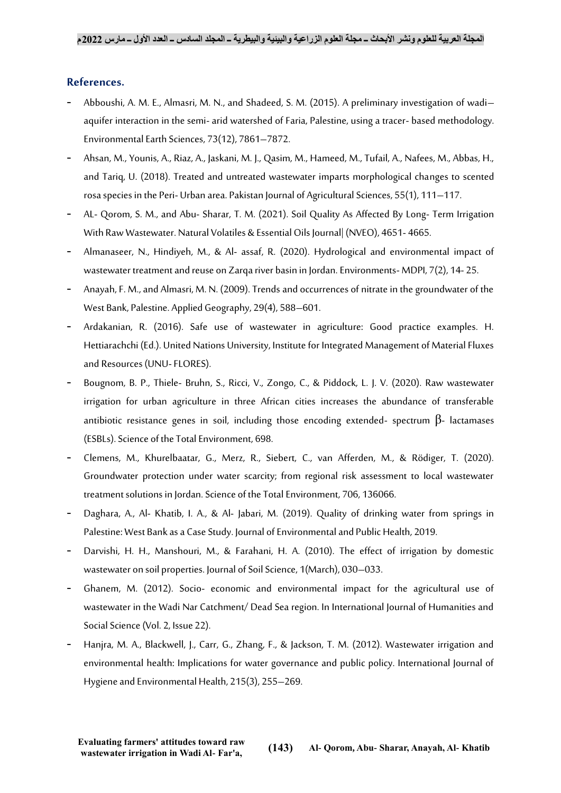# **References.**

- Abboushi, A. M. E., Almasri, M. N., and Shadeed, S. M. (2015). A preliminary investigation of wadi– aquifer interaction in the semi- arid watershed of Faria, Palestine, using a tracer- based methodology. Environmental Earth Sciences, 73(12), 7861–7872.
- Ahsan, M., Younis, A., Riaz, A., Jaskani, M. J., Qasim, M., Hameed, M., Tufail, A., Nafees, M., Abbas, H., and Tariq, U. (2018). Treated and untreated wastewater imparts morphological changes to scented rosa species in the Peri- Urban area. Pakistan Journal of Agricultural Sciences, 55(1), 111–117.
- AL- Qorom, S. M., and Abu- Sharar, T. M. (2021). Soil Quality As Affected By Long- Term Irrigation With Raw Wastewater. Natural Volatiles & Essential Oils Journal| (NVEO), 4651- 4665.
- Almanaseer, N., Hindiyeh, M., & Al- assaf, R. (2020). Hydrological and environmental impact of wastewater treatment and reuse on Zarqa river basin in Jordan. Environments-MDPI, 7(2), 14- 25.
- Anayah, F. M., and Almasri, M. N. (2009). Trends and occurrences of nitrate in the groundwater of the West Bank, Palestine. Applied Geography, 29(4), 588–601.
- Ardakanian, R. (2016). Safe use of wastewater in agriculture: Good practice examples. H. Hettiarachchi (Ed.). United Nations University, Institute for Integrated Management of Material Fluxes and Resources (UNU-FLORES).
- Bougnom, B. P., Thiele- Bruhn, S., Ricci, V., Zongo, C., & Piddock, L. J. V. (2020). Raw wastewater irrigation for urban agriculture in three African cities increases the abundance of transferable antibiotic resistance genes in soil, including those encoding extended- spectrum  $\beta$ - lactamases (ESBLs). Science of the Total Environment, 698.
- Clemens, M., Khurelbaatar, G., Merz, R., Siebert, C., van Afferden, M., & Rödiger, T. (2020). Groundwater protection under water scarcity; from regional risk assessment to local wastewater treatment solutions in Jordan. Science of the Total Environment, 706, 136066.
- Daghara, A., Al- Khatib, I. A., & Al- Jabari, M. (2019). Quality of drinking water from springs in Palestine: West Bank as a Case Study. Journal of Environmental and Public Health, 2019.
- Darvishi, H. H., Manshouri, M., & Farahani, H. A. (2010). The effect of irrigation by domestic wastewater on soil properties. Journal of Soil Science, 1(March), 030–033.
- Ghanem, M. (2012). Socio- economic and environmental impact for the agricultural use of wastewater in the Wadi Nar Catchment/ Dead Sea region. In International Journal of Humanities and Social Science (Vol. 2, Issue 22).
- Hanjra, M. A., Blackwell, J., Carr, G., Zhang, F., & Jackson, T. M. (2012). Wastewater irrigation and environmental health: Implications for water governance and public policy. International Journal of Hygiene and Environmental Health, 215(3), 255–269.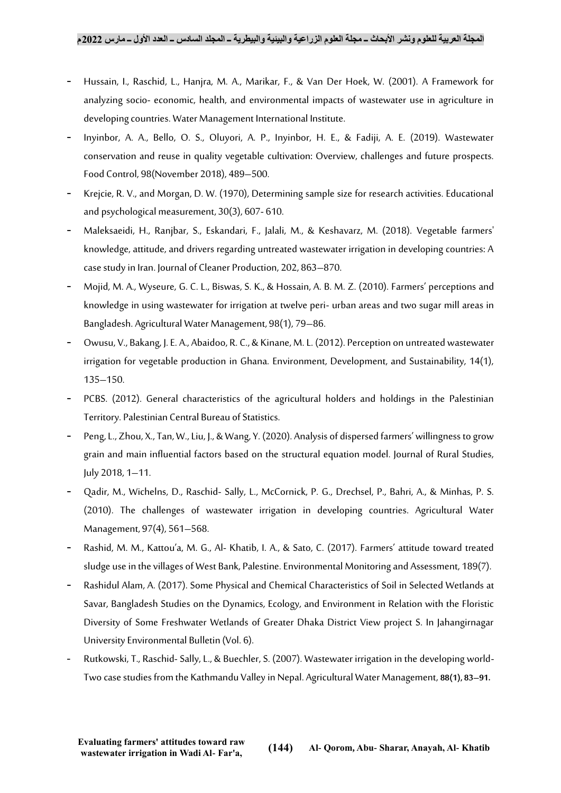- Hussain, I., Raschid, L., Hanjra, M. A., Marikar, F., & Van Der Hoek, W. (2001). A Framework for analyzing socio- economic, health, and environmental impacts of wastewater use in agriculture in developing countries. Water Management International Institute.
- Inyinbor, A. A., Bello, O. S., Oluyori, A. P., Inyinbor, H. E., & Fadiji, A. E. (2019). Wastewater conservation and reuse in quality vegetable cultivation: Overview, challenges and future prospects. Food Control, 98(November 2018), 489–500.
- Krejcie, R. V., and Morgan, D. W. (1970), Determining sample size for research activities. Educational and psychological measurement, 30(3), 607- 610.
- Maleksaeidi, H., Ranjbar, S., Eskandari, F., Jalali, M., & Keshavarz, M. (2018). Vegetable farmers' knowledge, attitude, and drivers regarding untreated wastewater irrigation in developing countries: A case study in Iran. Journal of Cleaner Production, 202, 863–870.
- Mojid, M. A., Wyseure, G. C. L., Biswas, S. K., & Hossain, A. B. M. Z. (2010). Farmers' perceptions and knowledge in using wastewater for irrigation at twelve peri- urban areas and two sugar mill areas in Bangladesh. Agricultural Water Management, 98(1), 79–86.
- Owusu, V., Bakang, J. E. A., Abaidoo, R. C., & Kinane, M. L. (2012). Perception on untreated wastewater irrigation for vegetable production in Ghana. Environment, Development, and Sustainability, 14(1), 135–150.
- PCBS. (2012). General characteristics of the agricultural holders and holdings in the Palestinian Territory. Palestinian Central Bureau of Statistics.
- Peng, L., Zhou, X., Tan, W., Liu, J., & Wang, Y. (2020). Analysis of dispersed farmers' willingness to grow grain and main influential factors based on the structural equation model. Journal of Rural Studies, July 2018, 1–11.
- Qadir, M., Wichelns, D., Raschid- Sally, L., McCornick, P. G., Drechsel, P., Bahri, A., & Minhas, P. S. (2010). The challenges of wastewater irrigation in developing countries. Agricultural Water Management, 97(4), 561–568.
- Rashid, M. M., Kattou'a, M. G., Al- Khatib, I. A., & Sato, C. (2017). Farmers' attitude toward treated sludge use in the villages of West Bank, Palestine. Environmental Monitoring and Assessment, 189(7).
- Rashidul Alam, A. (2017). Some Physical and Chemical Characteristics of Soil in Selected Wetlands at Savar, Bangladesh Studies on the Dynamics, Ecology, and Environment in Relation with the Floristic Diversity of Some Freshwater Wetlands of Greater Dhaka District View project S. In Jahangirnagar University Environmental Bulletin (Vol. 6).
- Rutkowski, T., Raschid-Sally, L., & Buechler, S. (2007). Wastewater irrigation in the developing world-Two case studies from the Kathmandu Valley in Nepal. Agricultural Water Management, **88(1), 83–91.**